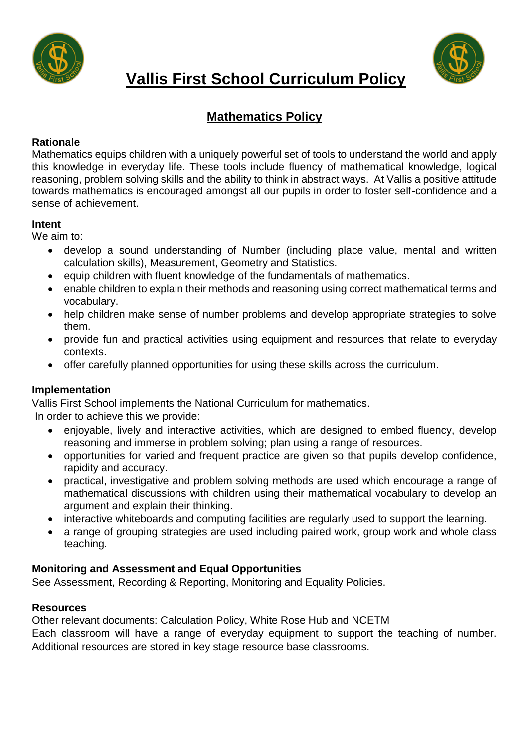



# **Vallis First School Curriculum Policy**

# **Mathematics Policy**

#### **Rationale**

Mathematics equips children with a uniquely powerful set of tools to understand the world and apply this knowledge in everyday life. These tools include fluency of mathematical knowledge, logical reasoning, problem solving skills and the ability to think in abstract ways. At Vallis a positive attitude towards mathematics is encouraged amongst all our pupils in order to foster self-confidence and a sense of achievement.

#### **Intent**

We aim to:

- develop a sound understanding of Number (including place value, mental and written calculation skills), Measurement, Geometry and Statistics.
- equip children with fluent knowledge of the fundamentals of mathematics.
- enable children to explain their methods and reasoning using correct mathematical terms and vocabulary.
- help children make sense of number problems and develop appropriate strategies to solve them.
- provide fun and practical activities using equipment and resources that relate to everyday contexts.
- offer carefully planned opportunities for using these skills across the curriculum.

#### **Implementation**

Vallis First School implements the National Curriculum for mathematics.

In order to achieve this we provide:

- enjoyable, lively and interactive activities, which are designed to embed fluency, develop reasoning and immerse in problem solving; plan using a range of resources.
- opportunities for varied and frequent practice are given so that pupils develop confidence, rapidity and accuracy.
- practical, investigative and problem solving methods are used which encourage a range of mathematical discussions with children using their mathematical vocabulary to develop an argument and explain their thinking.
- interactive whiteboards and computing facilities are regularly used to support the learning.
- a range of grouping strategies are used including paired work, group work and whole class teaching.

#### **Monitoring and Assessment and Equal Opportunities**

See Assessment, Recording & Reporting, Monitoring and Equality Policies.

#### **Resources**

Other relevant documents: Calculation Policy, White Rose Hub and NCETM

Each classroom will have a range of everyday equipment to support the teaching of number. Additional resources are stored in key stage resource base classrooms.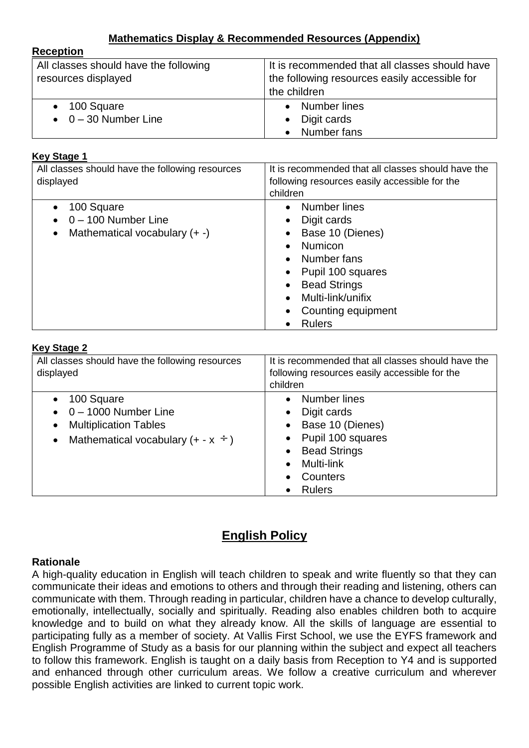#### **Mathematics Display & Recommended Resources (Appendix)**

#### **Reception**

| All classes should have the following | It is recommended that all classes should have<br>the following resources easily accessible for |
|---------------------------------------|-------------------------------------------------------------------------------------------------|
| resources displayed                   |                                                                                                 |
|                                       | the children                                                                                    |
| $\bullet$ 100 Square                  | • Number lines                                                                                  |
| $\bullet$ 0 – 30 Number Line          | • Digit cards                                                                                   |
|                                       | • Number fans                                                                                   |

#### **Key Stage 1**

| All classes should have the following resources<br>displayed                                                  | It is recommended that all classes should have the<br>following resources easily accessible for the<br>children                                                                                       |
|---------------------------------------------------------------------------------------------------------------|-------------------------------------------------------------------------------------------------------------------------------------------------------------------------------------------------------|
| 100 Square<br>$\bullet$<br>$0 - 100$ Number Line<br>$\bullet$<br>Mathematical vocabulary $(+ -)$<br>$\bullet$ | Number lines<br>$\bullet$<br>Digit cards<br>Base 10 (Dienes)<br><b>Numicon</b><br>Number fans<br>Pupil 100 squares<br><b>Bead Strings</b><br>Multi-link/unifix<br>Counting equipment<br><b>Rulers</b> |

#### **Key Stage 2**

| All classes should have the following resources<br>displayed                                                                                                       | It is recommended that all classes should have the<br>following resources easily accessible for the<br>children                                                         |
|--------------------------------------------------------------------------------------------------------------------------------------------------------------------|-------------------------------------------------------------------------------------------------------------------------------------------------------------------------|
| 100 Square<br>$\bullet$<br>$0 - 1000$ Number Line<br>$\bullet$<br><b>Multiplication Tables</b><br>$\bullet$<br>Mathematical vocabulary $(+ - x \div)$<br>$\bullet$ | Number lines<br>Digit cards<br>Base 10 (Dienes)<br>$\bullet$<br>Pupil 100 squares<br><b>Bead Strings</b><br>$\bullet$<br><b>Multi-link</b><br>Counters<br><b>Rulers</b> |

### **English Policy**

#### **Rationale**

A high-quality education in English will teach children to speak and write fluently so that they can communicate their ideas and emotions to others and through their reading and listening, others can communicate with them. Through reading in particular, children have a chance to develop culturally, emotionally, intellectually, socially and spiritually. Reading also enables children both to acquire knowledge and to build on what they already know. All the skills of language are essential to participating fully as a member of society. At Vallis First School, we use the EYFS framework and English Programme of Study as a basis for our planning within the subject and expect all teachers to follow this framework. English is taught on a daily basis from Reception to Y4 and is supported and enhanced through other curriculum areas. We follow a creative curriculum and wherever possible English activities are linked to current topic work.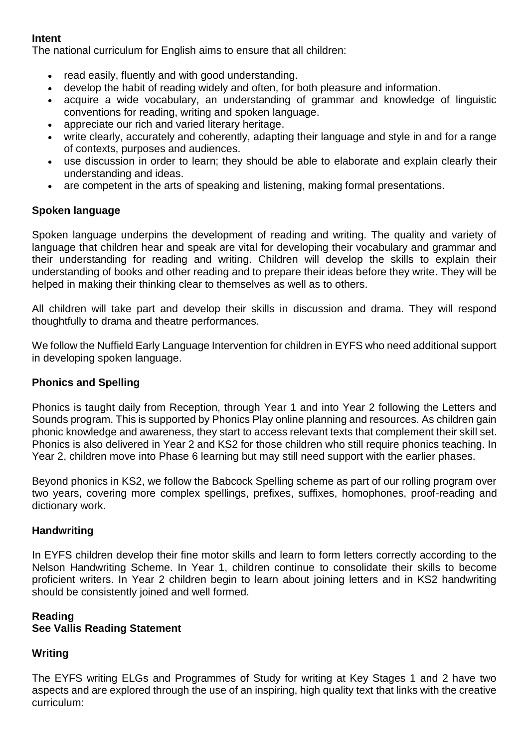#### **Intent**

The national curriculum for English aims to ensure that all children:

- read easily, fluently and with good understanding.
- develop the habit of reading widely and often, for both pleasure and information.
- acquire a wide vocabulary, an understanding of grammar and knowledge of linguistic conventions for reading, writing and spoken language.
- appreciate our rich and varied literary heritage.
- write clearly, accurately and coherently, adapting their language and style in and for a range of contexts, purposes and audiences.
- use discussion in order to learn; they should be able to elaborate and explain clearly their understanding and ideas.
- are competent in the arts of speaking and listening, making formal presentations.

#### **Spoken language**

Spoken language underpins the development of reading and writing. The quality and variety of language that children hear and speak are vital for developing their vocabulary and grammar and their understanding for reading and writing. Children will develop the skills to explain their understanding of books and other reading and to prepare their ideas before they write. They will be helped in making their thinking clear to themselves as well as to others.

All children will take part and develop their skills in discussion and drama. They will respond thoughtfully to drama and theatre performances.

We follow the Nuffield Early Language Intervention for children in EYFS who need additional support in developing spoken language.

#### **Phonics and Spelling**

Phonics is taught daily from Reception, through Year 1 and into Year 2 following the Letters and Sounds program. This is supported by Phonics Play online planning and resources. As children gain phonic knowledge and awareness, they start to access relevant texts that complement their skill set. Phonics is also delivered in Year 2 and KS2 for those children who still require phonics teaching. In Year 2, children move into Phase 6 learning but may still need support with the earlier phases.

Beyond phonics in KS2, we follow the Babcock Spelling scheme as part of our rolling program over two years, covering more complex spellings, prefixes, suffixes, homophones, proof-reading and dictionary work.

#### **Handwriting**

In EYFS children develop their fine motor skills and learn to form letters correctly according to the Nelson Handwriting Scheme. In Year 1, children continue to consolidate their skills to become proficient writers. In Year 2 children begin to learn about joining letters and in KS2 handwriting should be consistently joined and well formed.

#### **Reading See Vallis Reading Statement**

### **Writing**

The EYFS writing ELGs and Programmes of Study for writing at Key Stages 1 and 2 have two aspects and are explored through the use of an inspiring, high quality text that links with the creative curriculum: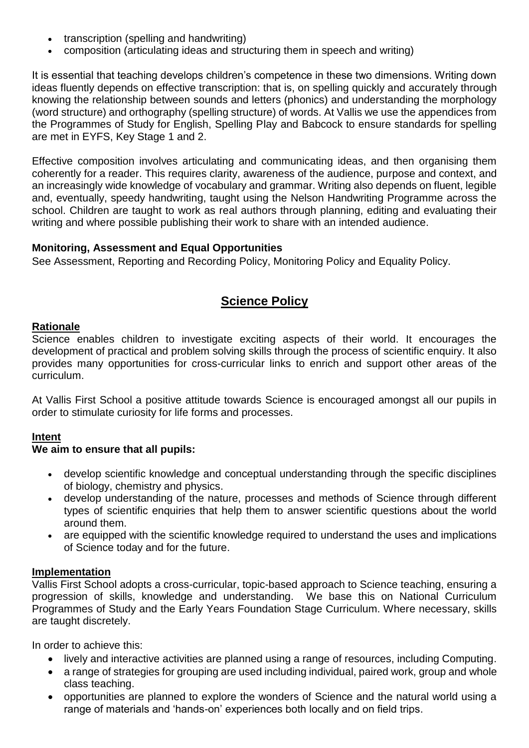- transcription (spelling and handwriting)
- composition (articulating ideas and structuring them in speech and writing)

It is essential that teaching develops children's competence in these two dimensions. Writing down ideas fluently depends on effective transcription: that is, on spelling quickly and accurately through knowing the relationship between sounds and letters (phonics) and understanding the morphology (word structure) and orthography (spelling structure) of words. At Vallis we use the appendices from the Programmes of Study for English, Spelling Play and Babcock to ensure standards for spelling are met in EYFS, Key Stage 1 and 2.

Effective composition involves articulating and communicating ideas, and then organising them coherently for a reader. This requires clarity, awareness of the audience, purpose and context, and an increasingly wide knowledge of vocabulary and grammar. Writing also depends on fluent, legible and, eventually, speedy handwriting, taught using the Nelson Handwriting Programme across the school. Children are taught to work as real authors through planning, editing and evaluating their writing and where possible publishing their work to share with an intended audience.

#### **Monitoring, Assessment and Equal Opportunities**

See Assessment, Reporting and Recording Policy, Monitoring Policy and Equality Policy.

### **Science Policy**

#### **Rationale**

Science enables children to investigate exciting aspects of their world. It encourages the development of practical and problem solving skills through the process of scientific enquiry. It also provides many opportunities for cross-curricular links to enrich and support other areas of the curriculum.

At Vallis First School a positive attitude towards Science is encouraged amongst all our pupils in order to stimulate curiosity for life forms and processes.

#### **Intent**

#### **We aim to ensure that all pupils:**

- develop scientific knowledge and conceptual understanding through the specific disciplines of biology, chemistry and physics.
- develop understanding of the nature, processes and methods of Science through different types of scientific enquiries that help them to answer scientific questions about the world around them.
- are equipped with the scientific knowledge required to understand the uses and implications of Science today and for the future.

#### **Implementation**

Vallis First School adopts a cross-curricular, topic-based approach to Science teaching, ensuring a progression of skills, knowledge and understanding. We base this on National Curriculum Programmes of Study and the Early Years Foundation Stage Curriculum. Where necessary, skills are taught discretely.

In order to achieve this:

- lively and interactive activities are planned using a range of resources, including Computing.
- a range of strategies for grouping are used including individual, paired work, group and whole class teaching.
- opportunities are planned to explore the wonders of Science and the natural world using a range of materials and 'hands-on' experiences both locally and on field trips.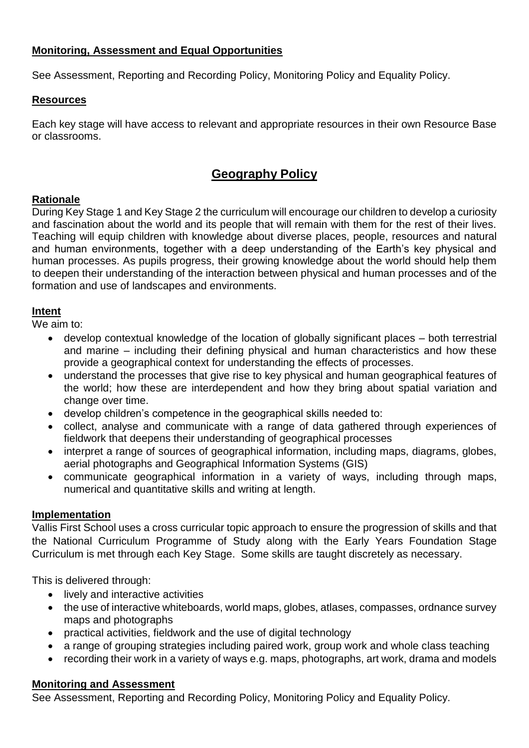### **Monitoring, Assessment and Equal Opportunities**

See Assessment, Reporting and Recording Policy, Monitoring Policy and Equality Policy.

#### **Resources**

Each key stage will have access to relevant and appropriate resources in their own Resource Base or classrooms.

### **Geography Policy**

#### **Rationale**

During Key Stage 1 and Key Stage 2 the curriculum will encourage our children to develop a curiosity and fascination about the world and its people that will remain with them for the rest of their lives. Teaching will equip children with knowledge about diverse places, people, resources and natural and human environments, together with a deep understanding of the Earth's key physical and human processes. As pupils progress, their growing knowledge about the world should help them to deepen their understanding of the interaction between physical and human processes and of the formation and use of landscapes and environments.

#### **Intent**

We aim to:

- develop contextual knowledge of the location of globally significant places both terrestrial and marine – including their defining physical and human characteristics and how these provide a geographical context for understanding the effects of processes.
- understand the processes that give rise to key physical and human geographical features of the world; how these are interdependent and how they bring about spatial variation and change over time.
- develop children's competence in the geographical skills needed to:
- collect, analyse and communicate with a range of data gathered through experiences of fieldwork that deepens their understanding of geographical processes
- interpret a range of sources of geographical information, including maps, diagrams, globes, aerial photographs and Geographical Information Systems (GIS)
- communicate geographical information in a variety of ways, including through maps, numerical and quantitative skills and writing at length.

#### **Implementation**

Vallis First School uses a cross curricular topic approach to ensure the progression of skills and that the National Curriculum Programme of Study along with the Early Years Foundation Stage Curriculum is met through each Key Stage. Some skills are taught discretely as necessary.

This is delivered through:

- lively and interactive activities
- the use of interactive whiteboards, world maps, globes, atlases, compasses, ordnance survey maps and photographs
- practical activities, fieldwork and the use of digital technology
- a range of grouping strategies including paired work, group work and whole class teaching
- recording their work in a variety of ways e.g. maps, photographs, art work, drama and models

#### **Monitoring and Assessment**

See Assessment, Reporting and Recording Policy, Monitoring Policy and Equality Policy.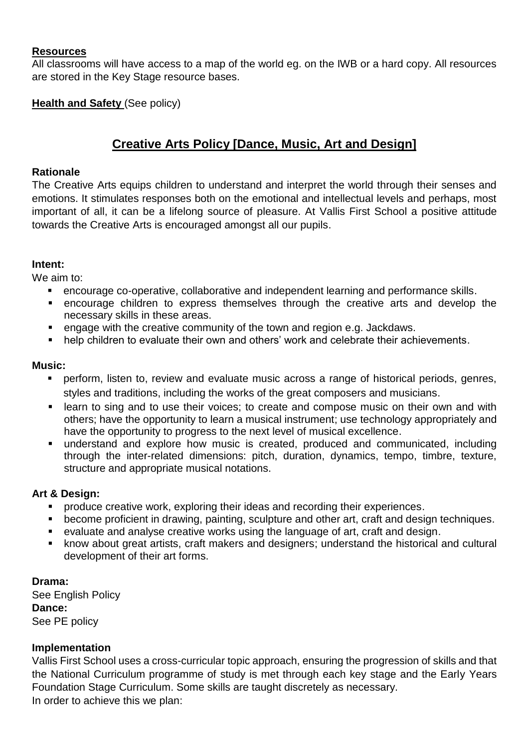#### **Resources**

All classrooms will have access to a map of the world eg. on the IWB or a hard copy. All resources are stored in the Key Stage resource bases.

**Health and Safety** (See policy)

# **Creative Arts Policy [Dance, Music, Art and Design]**

#### **Rationale**

The Creative Arts equips children to understand and interpret the world through their senses and emotions. It stimulates responses both on the emotional and intellectual levels and perhaps, most important of all, it can be a lifelong source of pleasure. At Vallis First School a positive attitude towards the Creative Arts is encouraged amongst all our pupils.

#### **Intent:**

We aim to:

- encourage co-operative, collaborative and independent learning and performance skills.
- encourage children to express themselves through the creative arts and develop the necessary skills in these areas.
- engage with the creative community of the town and region e.g. Jackdaws.
- help children to evaluate their own and others' work and celebrate their achievements.

#### **Music:**

- perform, listen to, review and evaluate music across a range of historical periods, genres, styles and traditions, including the works of the great composers and musicians.
- learn to sing and to use their voices; to create and compose music on their own and with others; have the opportunity to learn a musical instrument; use technology appropriately and have the opportunity to progress to the next level of musical excellence.
- understand and explore how music is created, produced and communicated, including through the inter-related dimensions: pitch, duration, dynamics, tempo, timbre, texture, structure and appropriate musical notations.

#### **Art & Design:**

- **•** produce creative work, exploring their ideas and recording their experiences.
- become proficient in drawing, painting, sculpture and other art, craft and design techniques.
- evaluate and analyse creative works using the language of art, craft and design.
- know about great artists, craft makers and designers; understand the historical and cultural development of their art forms.

**Drama:** See English Policy **Dance:** See PE policy

### **Implementation**

Vallis First School uses a cross-curricular topic approach, ensuring the progression of skills and that the National Curriculum programme of study is met through each key stage and the Early Years Foundation Stage Curriculum. Some skills are taught discretely as necessary. In order to achieve this we plan: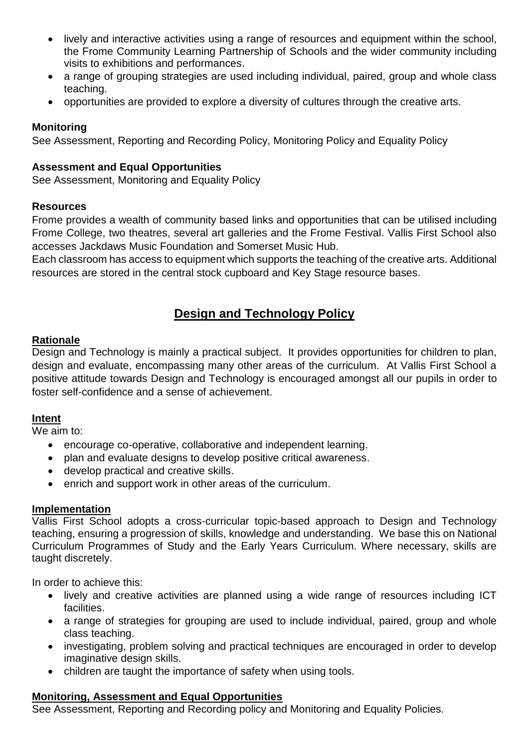- lively and interactive activities using a range of resources and equipment within the school, the Frome Community Learning Partnership of Schools and the wider community including visits to exhibitions and performances.
- a range of grouping strategies are used including individual, paired, group and whole class teaching.
- opportunities are provided to explore a diversity of cultures through the creative arts.

### **Monitoring**

See Assessment, Reporting and Recording Policy, Monitoring Policy and Equality Policy

#### **Assessment and Equal Opportunities**

See Assessment, Monitoring and Equality Policy

#### **Resources**

Frome provides a wealth of community based links and opportunities that can be utilised including Frome College, two theatres, several art galleries and the Frome Festival. Vallis First School also accesses Jackdaws Music Foundation and Somerset Music Hub.

Each classroom has access to equipment which supports the teaching of the creative arts. Additional resources are stored in the central stock cupboard and Key Stage resource bases.

### **Design and Technology Policy**

#### **Rationale**

Design and Technology is mainly a practical subject. It provides opportunities for children to plan, design and evaluate, encompassing many other areas of the curriculum. At Vallis First School a positive attitude towards Design and Technology is encouraged amongst all our pupils in order to foster self-confidence and a sense of achievement.

#### **Intent**

We aim to:

- encourage co-operative, collaborative and independent learning.
- plan and evaluate designs to develop positive critical awareness.
- develop practical and creative skills.
- enrich and support work in other areas of the curriculum.

#### **Implementation**

Vallis First School adopts a cross-curricular topic-based approach to Design and Technology teaching, ensuring a progression of skills, knowledge and understanding. We base this on National Curriculum Programmes of Study and the Early Years Curriculum. Where necessary, skills are taught discretely.

In order to achieve this:

- lively and creative activities are planned using a wide range of resources including ICT facilities.
- a range of strategies for grouping are used to include individual, paired, group and whole class teaching.
- investigating, problem solving and practical techniques are encouraged in order to develop imaginative design skills.
- children are taught the importance of safety when using tools.

#### **Monitoring, Assessment and Equal Opportunities**

See Assessment, Reporting and Recording policy and Monitoring and Equality Policies.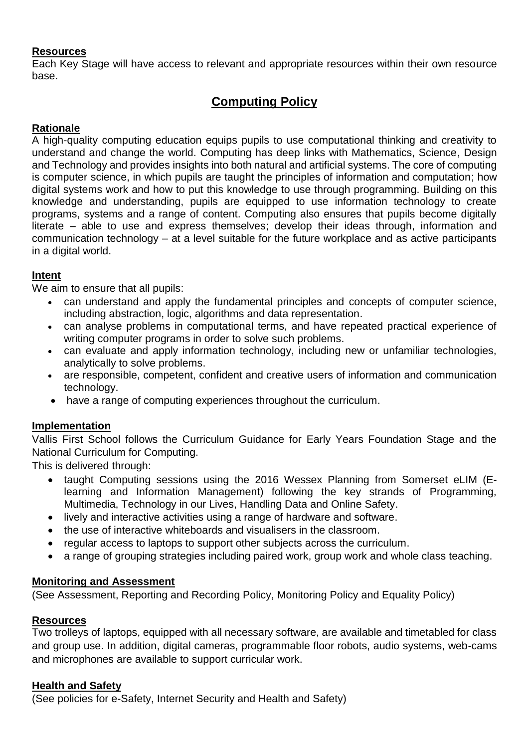#### **Resources**

Each Key Stage will have access to relevant and appropriate resources within their own resource base.

### **Computing Policy**

#### **Rationale**

A high-quality computing education equips pupils to use computational thinking and creativity to understand and change the world. Computing has deep links with Mathematics, Science, Design and Technology and provides insights into both natural and artificial systems. The core of computing is computer science, in which pupils are taught the principles of information and computation; how digital systems work and how to put this knowledge to use through programming. Building on this knowledge and understanding, pupils are equipped to use information technology to create programs, systems and a range of content. Computing also ensures that pupils become digitally literate – able to use and express themselves; develop their ideas through, information and communication technology – at a level suitable for the future workplace and as active participants in a digital world.

#### **Intent**

We aim to ensure that all pupils:

- can understand and apply the fundamental principles and concepts of computer science, including abstraction, logic, algorithms and data representation.
- can analyse problems in computational terms, and have repeated practical experience of writing computer programs in order to solve such problems.
- can evaluate and apply information technology, including new or unfamiliar technologies, analytically to solve problems.
- are responsible, competent, confident and creative users of information and communication technology.
- have a range of computing experiences throughout the curriculum.

#### **Implementation**

Vallis First School follows the Curriculum Guidance for Early Years Foundation Stage and the National Curriculum for Computing.

This is delivered through:

- taught Computing sessions using the 2016 Wessex Planning from Somerset eLIM (Elearning and Information Management) following the key strands of Programming, Multimedia, Technology in our Lives, Handling Data and Online Safety.
- lively and interactive activities using a range of hardware and software.
- the use of interactive whiteboards and visualisers in the classroom.
- regular access to laptops to support other subjects across the curriculum.
- a range of grouping strategies including paired work, group work and whole class teaching.

#### **Monitoring and Assessment**

(See Assessment, Reporting and Recording Policy, Monitoring Policy and Equality Policy)

#### **Resources**

Two trolleys of laptops, equipped with all necessary software, are available and timetabled for class and group use. In addition, digital cameras, programmable floor robots, audio systems, web-cams and microphones are available to support curricular work.

#### **Health and Safety**

(See policies for e-Safety, Internet Security and Health and Safety)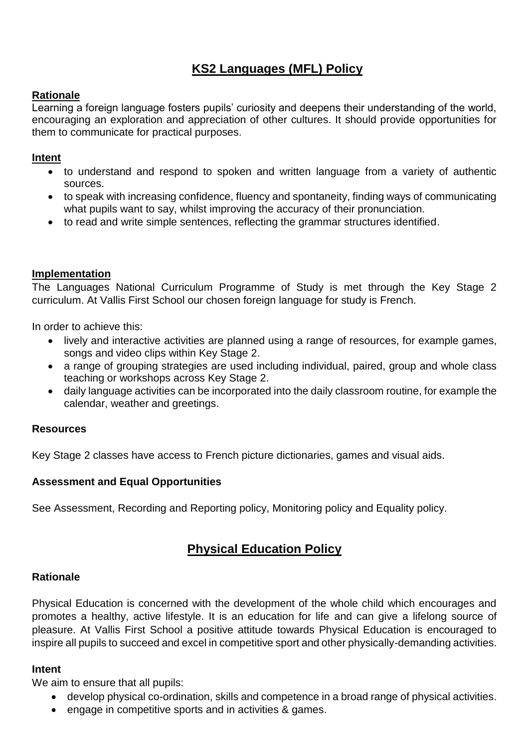## **KS2 Languages (MFL) Policy**

#### **Rationale**

Learning a foreign language fosters pupils' curiosity and deepens their understanding of the world, encouraging an exploration and appreciation of other cultures. It should provide opportunities for them to communicate for practical purposes.

#### **Intent**

- to understand and respond to spoken and written language from a variety of authentic sources.
- to speak with increasing confidence, fluency and spontaneity, finding ways of communicating what pupils want to say, whilst improving the accuracy of their pronunciation.
- to read and write simple sentences, reflecting the grammar structures identified.

#### **Implementation**

The Languages National Curriculum Programme of Study is met through the Key Stage 2 curriculum. At Vallis First School our chosen foreign language for study is French.

In order to achieve this:

- lively and interactive activities are planned using a range of resources, for example games, songs and video clips within Key Stage 2.
- a range of grouping strategies are used including individual, paired, group and whole class teaching or workshops across Key Stage 2.
- daily language activities can be incorporated into the daily classroom routine, for example the calendar, weather and greetings.

#### **Resources**

Key Stage 2 classes have access to French picture dictionaries, games and visual aids.

#### **Assessment and Equal Opportunities**

See Assessment, Recording and Reporting policy, Monitoring policy and Equality policy.

### **Physical Education Policy**

#### **Rationale**

Physical Education is concerned with the development of the whole child which encourages and promotes a healthy, active lifestyle. It is an education for life and can give a lifelong source of pleasure. At Vallis First School a positive attitude towards Physical Education is encouraged to inspire all pupils to succeed and excel in competitive sport and other physically-demanding activities.

#### **Intent**

We aim to ensure that all pupils:

- develop physical co-ordination, skills and competence in a broad range of physical activities.
- engage in competitive sports and in activities & games.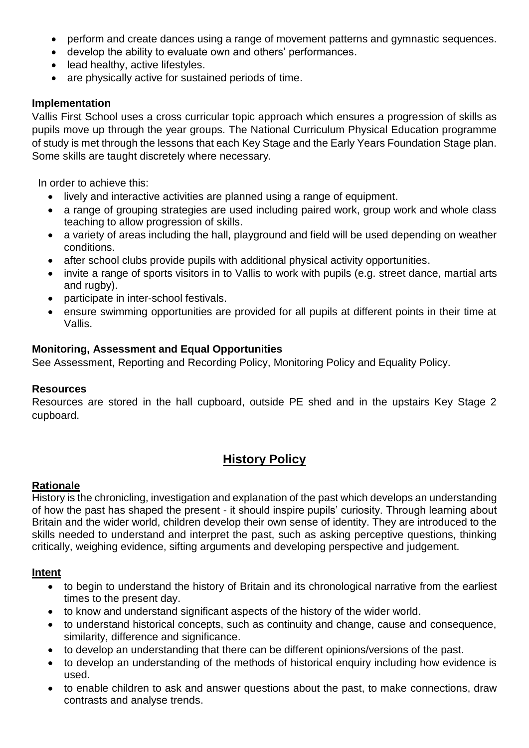- perform and create dances using a range of movement patterns and gymnastic sequences.
- develop the ability to evaluate own and others' performances.
- lead healthy, active lifestyles.
- are physically active for sustained periods of time.

#### **Implementation**

Vallis First School uses a cross curricular topic approach which ensures a progression of skills as pupils move up through the year groups. The National Curriculum Physical Education programme of study is met through the lessons that each Key Stage and the Early Years Foundation Stage plan. Some skills are taught discretely where necessary.

In order to achieve this:

- lively and interactive activities are planned using a range of equipment.
- a range of grouping strategies are used including paired work, group work and whole class teaching to allow progression of skills.
- a variety of areas including the hall, playground and field will be used depending on weather conditions.
- after school clubs provide pupils with additional physical activity opportunities.
- invite a range of sports visitors in to Vallis to work with pupils (e.g. street dance, martial arts and rugby).
- participate in inter-school festivals.
- ensure swimming opportunities are provided for all pupils at different points in their time at Vallis.

### **Monitoring, Assessment and Equal Opportunities**

See Assessment, Reporting and Recording Policy, Monitoring Policy and Equality Policy.

#### **Resources**

Resources are stored in the hall cupboard, outside PE shed and in the upstairs Key Stage 2 cupboard.

### **History Policy**

#### **Rationale**

History is the chronicling, investigation and explanation of the past which develops an understanding of how the past has shaped the present - it should inspire pupils' curiosity. Through learning about Britain and the wider world, children develop their own sense of identity. They are introduced to the skills needed to understand and interpret the past, such as asking perceptive questions, thinking critically, weighing evidence, sifting arguments and developing perspective and judgement.

#### **Intent**

- to begin to understand the history of Britain and its chronological narrative from the earliest times to the present day.
- to know and understand significant aspects of the history of the wider world.
- to understand historical concepts, such as continuity and change, cause and consequence, similarity, difference and significance.
- to develop an understanding that there can be different opinions/versions of the past.
- to develop an understanding of the methods of historical enquiry including how evidence is used.
- to enable children to ask and answer questions about the past, to make connections, draw contrasts and analyse trends.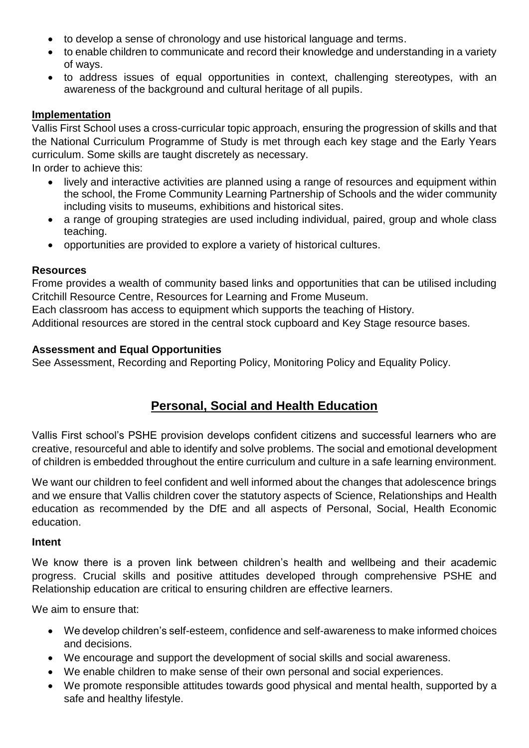- to develop a sense of chronology and use historical language and terms.
- to enable children to communicate and record their knowledge and understanding in a variety of ways.
- to address issues of equal opportunities in context, challenging stereotypes, with an awareness of the background and cultural heritage of all pupils.

#### **Implementation**

Vallis First School uses a cross-curricular topic approach, ensuring the progression of skills and that the National Curriculum Programme of Study is met through each key stage and the Early Years curriculum. Some skills are taught discretely as necessary.

In order to achieve this:

- lively and interactive activities are planned using a range of resources and equipment within the school, the Frome Community Learning Partnership of Schools and the wider community including visits to museums, exhibitions and historical sites.
- a range of grouping strategies are used including individual, paired, group and whole class teaching.
- opportunities are provided to explore a variety of historical cultures.

#### **Resources**

Frome provides a wealth of community based links and opportunities that can be utilised including Critchill Resource Centre, Resources for Learning and Frome Museum.

Each classroom has access to equipment which supports the teaching of History.

Additional resources are stored in the central stock cupboard and Key Stage resource bases.

#### **Assessment and Equal Opportunities**

See Assessment, Recording and Reporting Policy, Monitoring Policy and Equality Policy.

### **Personal, Social and Health Education**

Vallis First school's PSHE provision develops confident citizens and successful learners who are creative, resourceful and able to identify and solve problems. The social and emotional development of children is embedded throughout the entire curriculum and culture in a safe learning environment.

We want our children to feel confident and well informed about the changes that adolescence brings and we ensure that Vallis children cover the statutory aspects of Science, Relationships and Health education as recommended by the DfE and all aspects of Personal, Social, Health Economic education.

#### **Intent**

We know there is a proven link between children's health and wellbeing and their academic progress. Crucial skills and positive attitudes developed through comprehensive PSHE and Relationship education are critical to ensuring children are effective learners.

We aim to ensure that:

- We develop children's self-esteem, confidence and self-awareness to make informed choices and decisions.
- We encourage and support the development of social skills and social awareness.
- We enable children to make sense of their own personal and social experiences.
- We promote responsible attitudes towards good physical and mental health, supported by a safe and healthy lifestyle.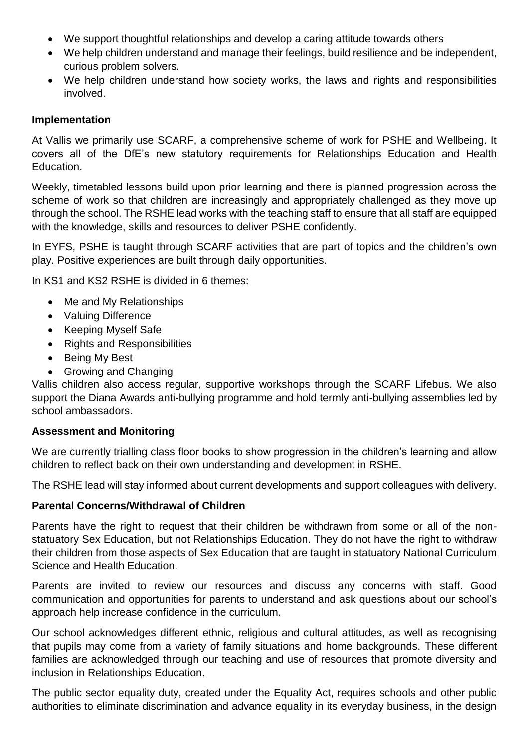- We support thoughtful relationships and develop a caring attitude towards others
- We help children understand and manage their feelings, build resilience and be independent, curious problem solvers.
- We help children understand how society works, the laws and rights and responsibilities involved.

#### **Implementation**

At Vallis we primarily use SCARF, a comprehensive scheme of work for PSHE and Wellbeing. It covers all of the DfE's new statutory requirements for Relationships Education and Health Education.

Weekly, timetabled lessons build upon prior learning and there is planned progression across the scheme of work so that children are increasingly and appropriately challenged as they move up through the school. The RSHE lead works with the teaching staff to ensure that all staff are equipped with the knowledge, skills and resources to deliver PSHE confidently.

In EYFS, PSHE is taught through SCARF activities that are part of topics and the children's own play. Positive experiences are built through daily opportunities.

In KS1 and KS2 RSHE is divided in 6 themes:

- Me and My Relationships
- Valuing Difference
- Keeping Myself Safe
- Rights and Responsibilities
- Being My Best
- Growing and Changing

Vallis children also access regular, supportive workshops through the SCARF Lifebus. We also support the Diana Awards anti-bullying programme and hold termly anti-bullying assemblies led by school ambassadors.

#### **Assessment and Monitoring**

We are currently trialling class floor books to show progression in the children's learning and allow children to reflect back on their own understanding and development in RSHE.

The RSHE lead will stay informed about current developments and support colleagues with delivery.

#### **Parental Concerns/Withdrawal of Children**

Parents have the right to request that their children be withdrawn from some or all of the nonstatuatory Sex Education, but not Relationships Education. They do not have the right to withdraw their children from those aspects of Sex Education that are taught in statuatory National Curriculum Science and Health Education.

Parents are invited to review our resources and discuss any concerns with staff. Good communication and opportunities for parents to understand and ask questions about our school's approach help increase confidence in the curriculum.

Our school acknowledges different ethnic, religious and cultural attitudes, as well as recognising that pupils may come from a variety of family situations and home backgrounds. These different families are acknowledged through our teaching and use of resources that promote diversity and inclusion in Relationships Education.

The public sector equality duty, created under the Equality Act, requires schools and other public authorities to eliminate discrimination and advance equality in its everyday business, in the design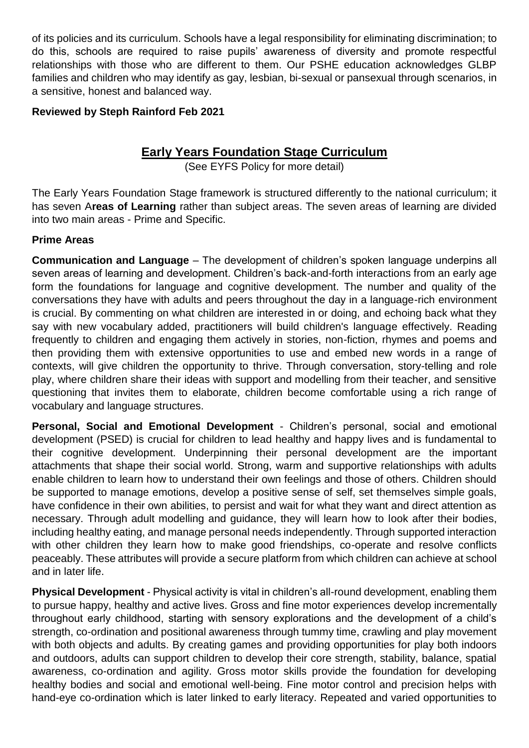of its policies and its curriculum. Schools have a legal responsibility for eliminating discrimination; to do this, schools are required to raise pupils' awareness of diversity and promote respectful relationships with those who are different to them. Our PSHE education acknowledges GLBP families and children who may identify as gay, lesbian, bi-sexual or pansexual through scenarios, in a sensitive, honest and balanced way.

#### **Reviewed by Steph Rainford Feb 2021**

### **Early Years Foundation Stage Curriculum**

(See EYFS Policy for more detail)

The Early Years Foundation Stage framework is structured differently to the national curriculum; it has seven A**reas of Learning** rather than subject areas. The seven areas of learning are divided into two main areas - Prime and Specific.

#### **Prime Areas**

**Communication and Language** – The development of children's spoken language underpins all seven areas of learning and development. Children's back-and-forth interactions from an early age form the foundations for language and cognitive development. The number and quality of the conversations they have with adults and peers throughout the day in a language-rich environment is crucial. By commenting on what children are interested in or doing, and echoing back what they say with new vocabulary added, practitioners will build children's language effectively. Reading frequently to children and engaging them actively in stories, non-fiction, rhymes and poems and then providing them with extensive opportunities to use and embed new words in a range of contexts, will give children the opportunity to thrive. Through conversation, story-telling and role play, where children share their ideas with support and modelling from their teacher, and sensitive questioning that invites them to elaborate, children become comfortable using a rich range of vocabulary and language structures.

**Personal, Social and Emotional Development** - Children's personal, social and emotional development (PSED) is crucial for children to lead healthy and happy lives and is fundamental to their cognitive development. Underpinning their personal development are the important attachments that shape their social world. Strong, warm and supportive relationships with adults enable children to learn how to understand their own feelings and those of others. Children should be supported to manage emotions, develop a positive sense of self, set themselves simple goals, have confidence in their own abilities, to persist and wait for what they want and direct attention as necessary. Through adult modelling and guidance, they will learn how to look after their bodies, including healthy eating, and manage personal needs independently. Through supported interaction with other children they learn how to make good friendships, co-operate and resolve conflicts peaceably. These attributes will provide a secure platform from which children can achieve at school and in later life.

**Physical Development** - Physical activity is vital in children's all-round development, enabling them to pursue happy, healthy and active lives. Gross and fine motor experiences develop incrementally throughout early childhood, starting with sensory explorations and the development of a child's strength, co-ordination and positional awareness through tummy time, crawling and play movement with both objects and adults. By creating games and providing opportunities for play both indoors and outdoors, adults can support children to develop their core strength, stability, balance, spatial awareness, co-ordination and agility. Gross motor skills provide the foundation for developing healthy bodies and social and emotional well-being. Fine motor control and precision helps with hand-eye co-ordination which is later linked to early literacy. Repeated and varied opportunities to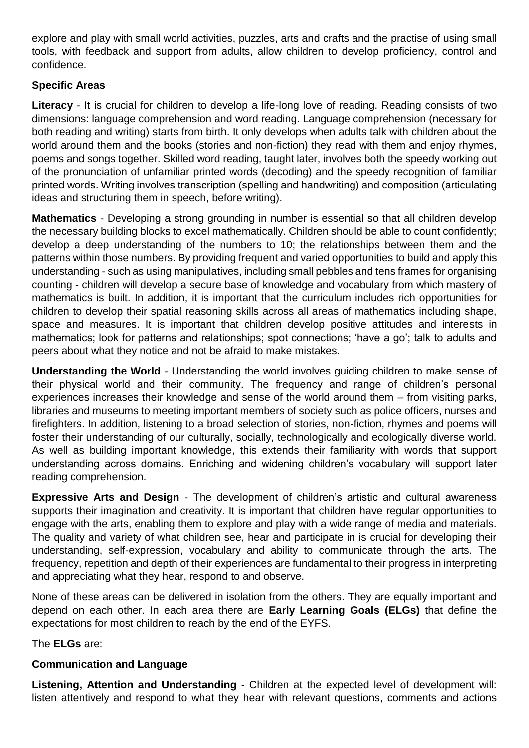explore and play with small world activities, puzzles, arts and crafts and the practise of using small tools, with feedback and support from adults, allow children to develop proficiency, control and confidence.

### **Specific Areas**

**Literacy** - It is crucial for children to develop a life-long love of reading. Reading consists of two dimensions: language comprehension and word reading. Language comprehension (necessary for both reading and writing) starts from birth. It only develops when adults talk with children about the world around them and the books (stories and non-fiction) they read with them and enjoy rhymes, poems and songs together. Skilled word reading, taught later, involves both the speedy working out of the pronunciation of unfamiliar printed words (decoding) and the speedy recognition of familiar printed words. Writing involves transcription (spelling and handwriting) and composition (articulating ideas and structuring them in speech, before writing).

**Mathematics** - Developing a strong grounding in number is essential so that all children develop the necessary building blocks to excel mathematically. Children should be able to count confidently; develop a deep understanding of the numbers to 10; the relationships between them and the patterns within those numbers. By providing frequent and varied opportunities to build and apply this understanding - such as using manipulatives, including small pebbles and tens frames for organising counting - children will develop a secure base of knowledge and vocabulary from which mastery of mathematics is built. In addition, it is important that the curriculum includes rich opportunities for children to develop their spatial reasoning skills across all areas of mathematics including shape, space and measures. It is important that children develop positive attitudes and interests in mathematics; look for patterns and relationships; spot connections; 'have a go'; talk to adults and peers about what they notice and not be afraid to make mistakes.

**Understanding the World** - Understanding the world involves guiding children to make sense of their physical world and their community. The frequency and range of children's personal experiences increases their knowledge and sense of the world around them – from visiting parks, libraries and museums to meeting important members of society such as police officers, nurses and firefighters. In addition, listening to a broad selection of stories, non-fiction, rhymes and poems will foster their understanding of our culturally, socially, technologically and ecologically diverse world. As well as building important knowledge, this extends their familiarity with words that support understanding across domains. Enriching and widening children's vocabulary will support later reading comprehension.

**Expressive Arts and Design** - The development of children's artistic and cultural awareness supports their imagination and creativity. It is important that children have regular opportunities to engage with the arts, enabling them to explore and play with a wide range of media and materials. The quality and variety of what children see, hear and participate in is crucial for developing their understanding, self-expression, vocabulary and ability to communicate through the arts. The frequency, repetition and depth of their experiences are fundamental to their progress in interpreting and appreciating what they hear, respond to and observe.

None of these areas can be delivered in isolation from the others. They are equally important and depend on each other. In each area there are **Early Learning Goals (ELGs)** that define the expectations for most children to reach by the end of the EYFS.

#### The **ELGs** are:

### **Communication and Language**

**Listening, Attention and Understanding** - Children at the expected level of development will: listen attentively and respond to what they hear with relevant questions, comments and actions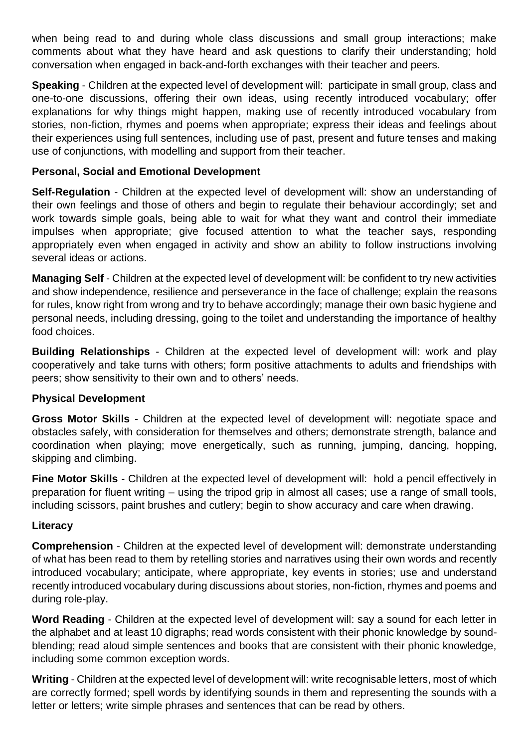when being read to and during whole class discussions and small group interactions; make comments about what they have heard and ask questions to clarify their understanding; hold conversation when engaged in back-and-forth exchanges with their teacher and peers.

**Speaking** - Children at the expected level of development will: participate in small group, class and one-to-one discussions, offering their own ideas, using recently introduced vocabulary; offer explanations for why things might happen, making use of recently introduced vocabulary from stories, non-fiction, rhymes and poems when appropriate; express their ideas and feelings about their experiences using full sentences, including use of past, present and future tenses and making use of conjunctions, with modelling and support from their teacher.

#### **Personal, Social and Emotional Development**

**Self-Regulation** - Children at the expected level of development will: show an understanding of their own feelings and those of others and begin to regulate their behaviour accordingly; set and work towards simple goals, being able to wait for what they want and control their immediate impulses when appropriate; give focused attention to what the teacher says, responding appropriately even when engaged in activity and show an ability to follow instructions involving several ideas or actions.

**Managing Self** - Children at the expected level of development will: be confident to try new activities and show independence, resilience and perseverance in the face of challenge; explain the reasons for rules, know right from wrong and try to behave accordingly; manage their own basic hygiene and personal needs, including dressing, going to the toilet and understanding the importance of healthy food choices.

**Building Relationships** - Children at the expected level of development will: work and play cooperatively and take turns with others; form positive attachments to adults and friendships with peers; show sensitivity to their own and to others' needs.

#### **Physical Development**

**Gross Motor Skills** - Children at the expected level of development will: negotiate space and obstacles safely, with consideration for themselves and others; demonstrate strength, balance and coordination when playing; move energetically, such as running, jumping, dancing, hopping, skipping and climbing.

**Fine Motor Skills** - Children at the expected level of development will: hold a pencil effectively in preparation for fluent writing – using the tripod grip in almost all cases; use a range of small tools, including scissors, paint brushes and cutlery; begin to show accuracy and care when drawing.

#### **Literacy**

**Comprehension** - Children at the expected level of development will: demonstrate understanding of what has been read to them by retelling stories and narratives using their own words and recently introduced vocabulary; anticipate, where appropriate, key events in stories; use and understand recently introduced vocabulary during discussions about stories, non-fiction, rhymes and poems and during role-play.

**Word Reading** - Children at the expected level of development will: say a sound for each letter in the alphabet and at least 10 digraphs; read words consistent with their phonic knowledge by soundblending; read aloud simple sentences and books that are consistent with their phonic knowledge, including some common exception words.

**Writing** - Children at the expected level of development will: write recognisable letters, most of which are correctly formed; spell words by identifying sounds in them and representing the sounds with a letter or letters; write simple phrases and sentences that can be read by others.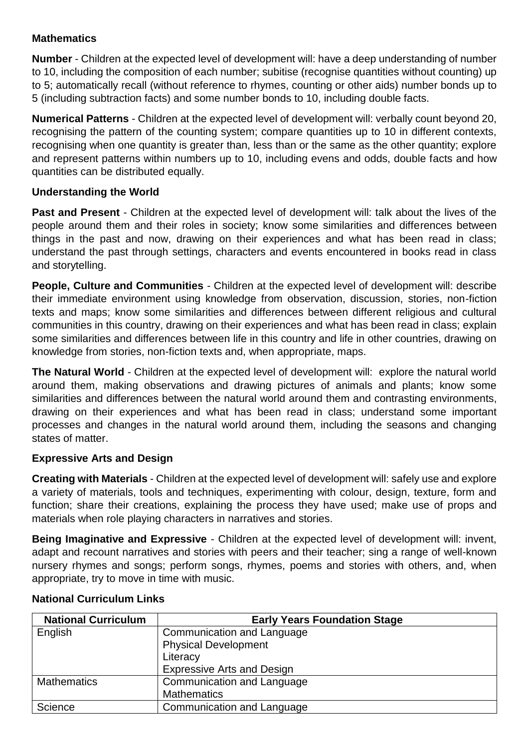#### **Mathematics**

**Number** - Children at the expected level of development will: have a deep understanding of number to 10, including the composition of each number; subitise (recognise quantities without counting) up to 5; automatically recall (without reference to rhymes, counting or other aids) number bonds up to 5 (including subtraction facts) and some number bonds to 10, including double facts.

**Numerical Patterns** - Children at the expected level of development will: verbally count beyond 20, recognising the pattern of the counting system; compare quantities up to 10 in different contexts, recognising when one quantity is greater than, less than or the same as the other quantity; explore and represent patterns within numbers up to 10, including evens and odds, double facts and how quantities can be distributed equally.

#### **Understanding the World**

**Past and Present** - Children at the expected level of development will: talk about the lives of the people around them and their roles in society; know some similarities and differences between things in the past and now, drawing on their experiences and what has been read in class; understand the past through settings, characters and events encountered in books read in class and storytelling.

**People, Culture and Communities** - Children at the expected level of development will: describe their immediate environment using knowledge from observation, discussion, stories, non-fiction texts and maps; know some similarities and differences between different religious and cultural communities in this country, drawing on their experiences and what has been read in class; explain some similarities and differences between life in this country and life in other countries, drawing on knowledge from stories, non-fiction texts and, when appropriate, maps.

**The Natural World** - Children at the expected level of development will: explore the natural world around them, making observations and drawing pictures of animals and plants; know some similarities and differences between the natural world around them and contrasting environments, drawing on their experiences and what has been read in class; understand some important processes and changes in the natural world around them, including the seasons and changing states of matter.

#### **Expressive Arts and Design**

**Creating with Materials** - Children at the expected level of development will: safely use and explore a variety of materials, tools and techniques, experimenting with colour, design, texture, form and function; share their creations, explaining the process they have used; make use of props and materials when role playing characters in narratives and stories.

**Being Imaginative and Expressive** - Children at the expected level of development will: invent, adapt and recount narratives and stories with peers and their teacher; sing a range of well-known nursery rhymes and songs; perform songs, rhymes, poems and stories with others, and, when appropriate, try to move in time with music.

| <b>National Curriculum</b> | <b>Early Years Foundation Stage</b>                       |
|----------------------------|-----------------------------------------------------------|
| English                    | Communication and Language<br><b>Physical Development</b> |
|                            | Literacy                                                  |
|                            | <b>Expressive Arts and Design</b>                         |
| <b>Mathematics</b>         | Communication and Language<br><b>Mathematics</b>          |
| Science                    | Communication and Language                                |

### **National Curriculum Links**